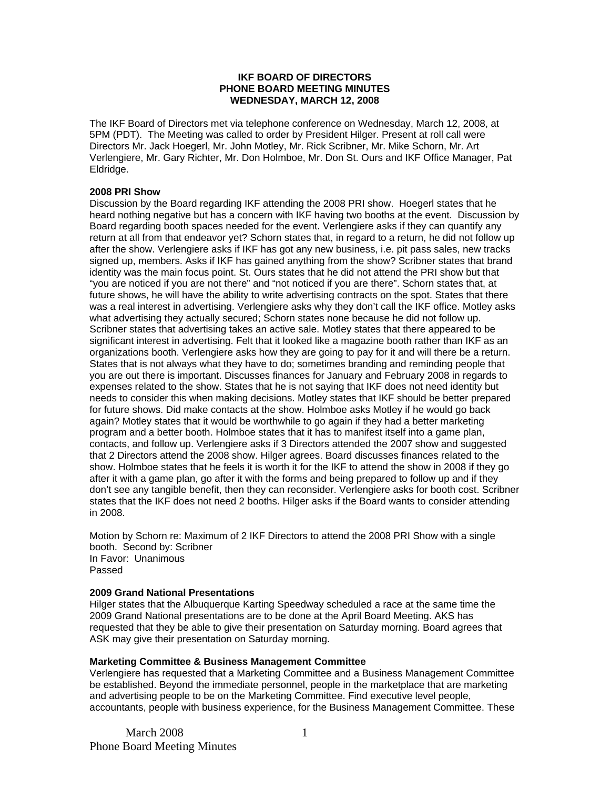## **IKF BOARD OF DIRECTORS PHONE BOARD MEETING MINUTES WEDNESDAY, MARCH 12, 2008**

The IKF Board of Directors met via telephone conference on Wednesday, March 12, 2008, at 5PM (PDT). The Meeting was called to order by President Hilger. Present at roll call were Directors Mr. Jack Hoegerl, Mr. John Motley, Mr. Rick Scribner, Mr. Mike Schorn, Mr. Art Verlengiere, Mr. Gary Richter, Mr. Don Holmboe, Mr. Don St. Ours and IKF Office Manager, Pat Eldridge.

## **2008 PRI Show**

Discussion by the Board regarding IKF attending the 2008 PRI show. Hoegerl states that he heard nothing negative but has a concern with IKF having two booths at the event. Discussion by Board regarding booth spaces needed for the event. Verlengiere asks if they can quantify any return at all from that endeavor yet? Schorn states that, in regard to a return, he did not follow up after the show. Verlengiere asks if IKF has got any new business, i.e. pit pass sales, new tracks signed up, members. Asks if IKF has gained anything from the show? Scribner states that brand identity was the main focus point. St. Ours states that he did not attend the PRI show but that "you are noticed if you are not there" and "not noticed if you are there". Schorn states that, at future shows, he will have the ability to write advertising contracts on the spot. States that there was a real interest in advertising. Verlengiere asks why they don't call the IKF office. Motley asks what advertising they actually secured; Schorn states none because he did not follow up. Scribner states that advertising takes an active sale. Motley states that there appeared to be significant interest in advertising. Felt that it looked like a magazine booth rather than IKF as an organizations booth. Verlengiere asks how they are going to pay for it and will there be a return. States that is not always what they have to do; sometimes branding and reminding people that you are out there is important. Discusses finances for January and February 2008 in regards to expenses related to the show. States that he is not saying that IKF does not need identity but needs to consider this when making decisions. Motley states that IKF should be better prepared for future shows. Did make contacts at the show. Holmboe asks Motley if he would go back again? Motley states that it would be worthwhile to go again if they had a better marketing program and a better booth. Holmboe states that it has to manifest itself into a game plan, contacts, and follow up. Verlengiere asks if 3 Directors attended the 2007 show and suggested that 2 Directors attend the 2008 show. Hilger agrees. Board discusses finances related to the show. Holmboe states that he feels it is worth it for the IKF to attend the show in 2008 if they go after it with a game plan, go after it with the forms and being prepared to follow up and if they don't see any tangible benefit, then they can reconsider. Verlengiere asks for booth cost. Scribner states that the IKF does not need 2 booths. Hilger asks if the Board wants to consider attending in 2008.

Motion by Schorn re: Maximum of 2 IKF Directors to attend the 2008 PRI Show with a single booth. Second by: Scribner In Favor: Unanimous Passed

### **2009 Grand National Presentations**

Hilger states that the Albuquerque Karting Speedway scheduled a race at the same time the 2009 Grand National presentations are to be done at the April Board Meeting. AKS has requested that they be able to give their presentation on Saturday morning. Board agrees that ASK may give their presentation on Saturday morning.

### **Marketing Committee & Business Management Committee**

Verlengiere has requested that a Marketing Committee and a Business Management Committee be established. Beyond the immediate personnel, people in the marketplace that are marketing and advertising people to be on the Marketing Committee. Find executive level people, accountants, people with business experience, for the Business Management Committee. These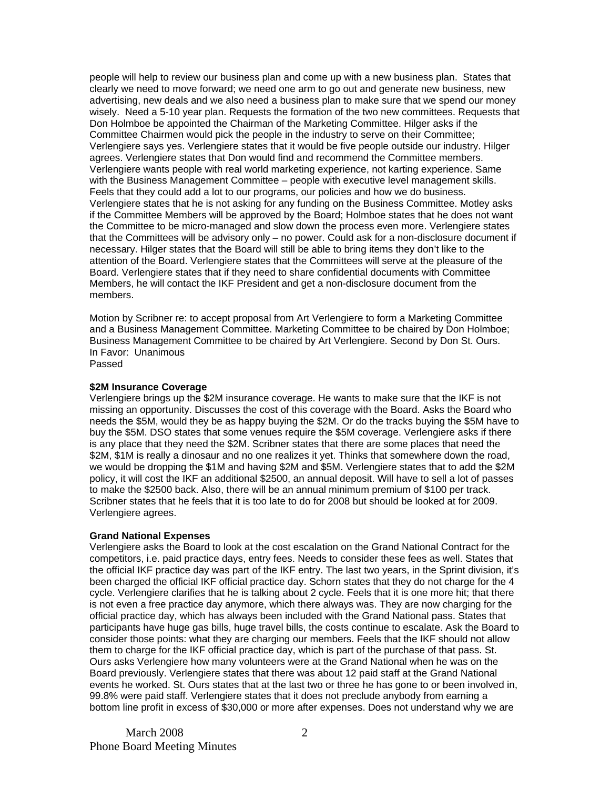people will help to review our business plan and come up with a new business plan. States that clearly we need to move forward; we need one arm to go out and generate new business, new advertising, new deals and we also need a business plan to make sure that we spend our money wisely. Need a 5-10 year plan. Requests the formation of the two new committees. Requests that Don Holmboe be appointed the Chairman of the Marketing Committee. Hilger asks if the Committee Chairmen would pick the people in the industry to serve on their Committee; Verlengiere says yes. Verlengiere states that it would be five people outside our industry. Hilger agrees. Verlengiere states that Don would find and recommend the Committee members. Verlengiere wants people with real world marketing experience, not karting experience. Same with the Business Management Committee – people with executive level management skills. Feels that they could add a lot to our programs, our policies and how we do business. Verlengiere states that he is not asking for any funding on the Business Committee. Motley asks if the Committee Members will be approved by the Board; Holmboe states that he does not want the Committee to be micro-managed and slow down the process even more. Verlengiere states that the Committees will be advisory only – no power. Could ask for a non-disclosure document if necessary. Hilger states that the Board will still be able to bring items they don't like to the attention of the Board. Verlengiere states that the Committees will serve at the pleasure of the Board. Verlengiere states that if they need to share confidential documents with Committee Members, he will contact the IKF President and get a non-disclosure document from the members.

Motion by Scribner re: to accept proposal from Art Verlengiere to form a Marketing Committee and a Business Management Committee. Marketing Committee to be chaired by Don Holmboe; Business Management Committee to be chaired by Art Verlengiere. Second by Don St. Ours. In Favor: Unanimous

# Passed

## **\$2M Insurance Coverage**

Verlengiere brings up the \$2M insurance coverage. He wants to make sure that the IKF is not missing an opportunity. Discusses the cost of this coverage with the Board. Asks the Board who needs the \$5M, would they be as happy buying the \$2M. Or do the tracks buying the \$5M have to buy the \$5M. DSO states that some venues require the \$5M coverage. Verlengiere asks if there is any place that they need the \$2M. Scribner states that there are some places that need the \$2M, \$1M is really a dinosaur and no one realizes it yet. Thinks that somewhere down the road, we would be dropping the \$1M and having \$2M and \$5M. Verlengiere states that to add the \$2M policy, it will cost the IKF an additional \$2500, an annual deposit. Will have to sell a lot of passes to make the \$2500 back. Also, there will be an annual minimum premium of \$100 per track. Scribner states that he feels that it is too late to do for 2008 but should be looked at for 2009. Verlengiere agrees.

### **Grand National Expenses**

Verlengiere asks the Board to look at the cost escalation on the Grand National Contract for the competitors, i.e. paid practice days, entry fees. Needs to consider these fees as well. States that the official IKF practice day was part of the IKF entry. The last two years, in the Sprint division, it's been charged the official IKF official practice day. Schorn states that they do not charge for the 4 cycle. Verlengiere clarifies that he is talking about 2 cycle. Feels that it is one more hit; that there is not even a free practice day anymore, which there always was. They are now charging for the official practice day, which has always been included with the Grand National pass. States that participants have huge gas bills, huge travel bills, the costs continue to escalate. Ask the Board to consider those points: what they are charging our members. Feels that the IKF should not allow them to charge for the IKF official practice day, which is part of the purchase of that pass. St. Ours asks Verlengiere how many volunteers were at the Grand National when he was on the Board previously. Verlengiere states that there was about 12 paid staff at the Grand National events he worked. St. Ours states that at the last two or three he has gone to or been involved in, 99.8% were paid staff. Verlengiere states that it does not preclude anybody from earning a bottom line profit in excess of \$30,000 or more after expenses. Does not understand why we are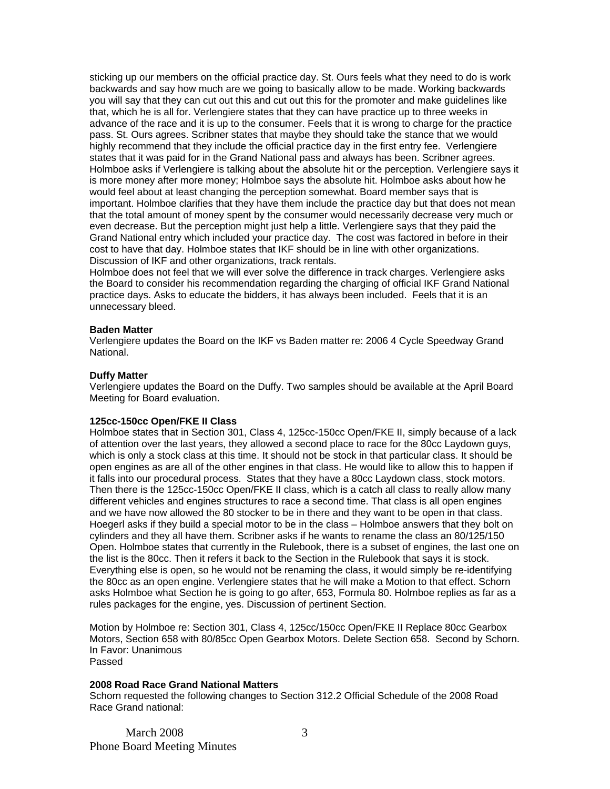sticking up our members on the official practice day. St. Ours feels what they need to do is work backwards and say how much are we going to basically allow to be made. Working backwards you will say that they can cut out this and cut out this for the promoter and make guidelines like that, which he is all for. Verlengiere states that they can have practice up to three weeks in advance of the race and it is up to the consumer. Feels that it is wrong to charge for the practice pass. St. Ours agrees. Scribner states that maybe they should take the stance that we would highly recommend that they include the official practice day in the first entry fee. Verlengiere states that it was paid for in the Grand National pass and always has been. Scribner agrees. Holmboe asks if Verlengiere is talking about the absolute hit or the perception. Verlengiere says it is more money after more money; Holmboe says the absolute hit. Holmboe asks about how he would feel about at least changing the perception somewhat. Board member says that is important. Holmboe clarifies that they have them include the practice day but that does not mean that the total amount of money spent by the consumer would necessarily decrease very much or even decrease. But the perception might just help a little. Verlengiere says that they paid the Grand National entry which included your practice day. The cost was factored in before in their cost to have that day. Holmboe states that IKF should be in line with other organizations. Discussion of IKF and other organizations, track rentals.

Holmboe does not feel that we will ever solve the difference in track charges. Verlengiere asks the Board to consider his recommendation regarding the charging of official IKF Grand National practice days. Asks to educate the bidders, it has always been included. Feels that it is an unnecessary bleed.

#### **Baden Matter**

Verlengiere updates the Board on the IKF vs Baden matter re: 2006 4 Cycle Speedway Grand National.

### **Duffy Matter**

Verlengiere updates the Board on the Duffy. Two samples should be available at the April Board Meeting for Board evaluation.

#### **125cc-150cc Open/FKE II Class**

Holmboe states that in Section 301, Class 4, 125cc-150cc Open/FKE II, simply because of a lack of attention over the last years, they allowed a second place to race for the 80cc Laydown guys, which is only a stock class at this time. It should not be stock in that particular class. It should be open engines as are all of the other engines in that class. He would like to allow this to happen if it falls into our procedural process. States that they have a 80cc Laydown class, stock motors. Then there is the 125cc-150cc Open/FKE II class, which is a catch all class to really allow many different vehicles and engines structures to race a second time. That class is all open engines and we have now allowed the 80 stocker to be in there and they want to be open in that class. Hoegerl asks if they build a special motor to be in the class – Holmboe answers that they bolt on cylinders and they all have them. Scribner asks if he wants to rename the class an 80/125/150 Open. Holmboe states that currently in the Rulebook, there is a subset of engines, the last one on the list is the 80cc. Then it refers it back to the Section in the Rulebook that says it is stock. Everything else is open, so he would not be renaming the class, it would simply be re-identifying the 80cc as an open engine. Verlengiere states that he will make a Motion to that effect. Schorn asks Holmboe what Section he is going to go after, 653, Formula 80. Holmboe replies as far as a rules packages for the engine, yes. Discussion of pertinent Section.

Motion by Holmboe re: Section 301, Class 4, 125cc/150cc Open/FKE II Replace 80cc Gearbox Motors, Section 658 with 80/85cc Open Gearbox Motors. Delete Section 658. Second by Schorn. In Favor: Unanimous Passed

### **2008 Road Race Grand National Matters**

Schorn requested the following changes to Section 312.2 Official Schedule of the 2008 Road Race Grand national: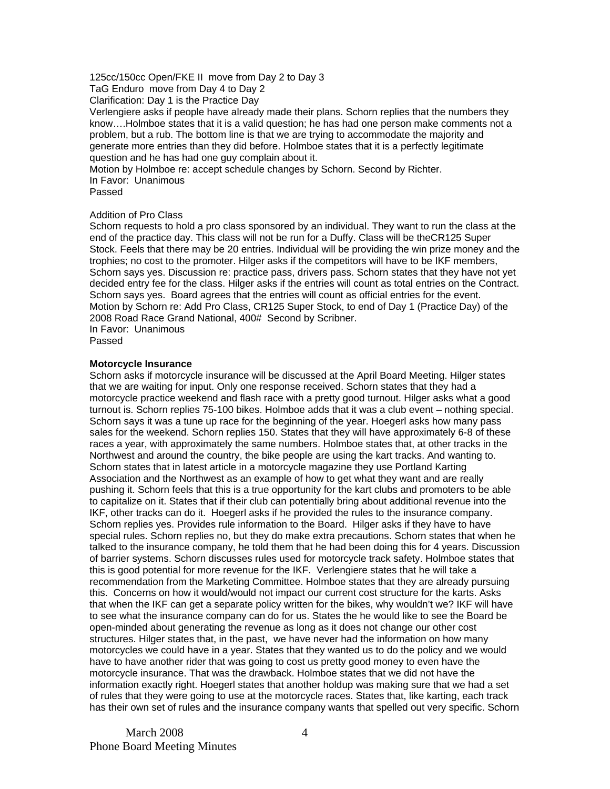## 125cc/150cc Open/FKE II move from Day 2 to Day 3

TaG Enduro move from Day 4 to Day 2

Clarification: Day 1 is the Practice Day

Verlengiere asks if people have already made their plans. Schorn replies that the numbers they know….Holmboe states that it is a valid question; he has had one person make comments not a problem, but a rub. The bottom line is that we are trying to accommodate the majority and generate more entries than they did before. Holmboe states that it is a perfectly legitimate question and he has had one guy complain about it.

Motion by Holmboe re: accept schedule changes by Schorn. Second by Richter.

In Favor: Unanimous

Passed

## Addition of Pro Class

Schorn requests to hold a pro class sponsored by an individual. They want to run the class at the end of the practice day. This class will not be run for a Duffy. Class will be theCR125 Super Stock. Feels that there may be 20 entries. Individual will be providing the win prize money and the trophies; no cost to the promoter. Hilger asks if the competitors will have to be IKF members, Schorn says yes. Discussion re: practice pass, drivers pass. Schorn states that they have not yet decided entry fee for the class. Hilger asks if the entries will count as total entries on the Contract. Schorn says yes. Board agrees that the entries will count as official entries for the event. Motion by Schorn re: Add Pro Class, CR125 Super Stock, to end of Day 1 (Practice Day) of the 2008 Road Race Grand National, 400# Second by Scribner. In Favor: Unanimous

Passed

## **Motorcycle Insurance**

Schorn asks if motorcycle insurance will be discussed at the April Board Meeting. Hilger states that we are waiting for input. Only one response received. Schorn states that they had a motorcycle practice weekend and flash race with a pretty good turnout. Hilger asks what a good turnout is. Schorn replies 75-100 bikes. Holmboe adds that it was a club event – nothing special. Schorn says it was a tune up race for the beginning of the year. Hoegerl asks how many pass sales for the weekend. Schorn replies 150. States that they will have approximately 6-8 of these races a year, with approximately the same numbers. Holmboe states that, at other tracks in the Northwest and around the country, the bike people are using the kart tracks. And wanting to. Schorn states that in latest article in a motorcycle magazine they use Portland Karting Association and the Northwest as an example of how to get what they want and are really pushing it. Schorn feels that this is a true opportunity for the kart clubs and promoters to be able to capitalize on it. States that if their club can potentially bring about additional revenue into the IKF, other tracks can do it. Hoegerl asks if he provided the rules to the insurance company. Schorn replies yes. Provides rule information to the Board. Hilger asks if they have to have special rules. Schorn replies no, but they do make extra precautions. Schorn states that when he talked to the insurance company, he told them that he had been doing this for 4 years. Discussion of barrier systems. Schorn discusses rules used for motorcycle track safety. Holmboe states that this is good potential for more revenue for the IKF. Verlengiere states that he will take a recommendation from the Marketing Committee. Holmboe states that they are already pursuing this. Concerns on how it would/would not impact our current cost structure for the karts. Asks that when the IKF can get a separate policy written for the bikes, why wouldn't we? IKF will have to see what the insurance company can do for us. States the he would like to see the Board be open-minded about generating the revenue as long as it does not change our other cost structures. Hilger states that, in the past, we have never had the information on how many motorcycles we could have in a year. States that they wanted us to do the policy and we would have to have another rider that was going to cost us pretty good money to even have the motorcycle insurance. That was the drawback. Holmboe states that we did not have the information exactly right. Hoegerl states that another holdup was making sure that we had a set of rules that they were going to use at the motorcycle races. States that, like karting, each track has their own set of rules and the insurance company wants that spelled out very specific. Schorn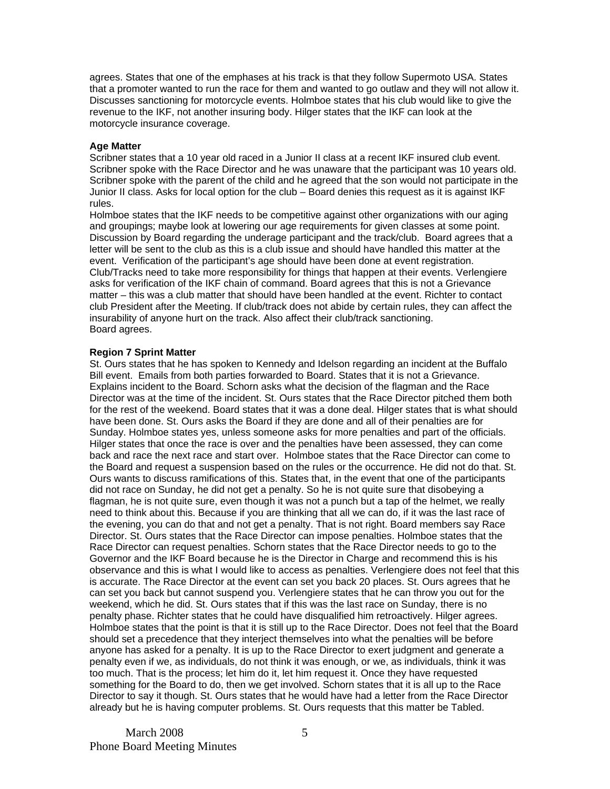agrees. States that one of the emphases at his track is that they follow Supermoto USA. States that a promoter wanted to run the race for them and wanted to go outlaw and they will not allow it. Discusses sanctioning for motorcycle events. Holmboe states that his club would like to give the revenue to the IKF, not another insuring body. Hilger states that the IKF can look at the motorcycle insurance coverage.

## **Age Matter**

Scribner states that a 10 year old raced in a Junior II class at a recent IKF insured club event. Scribner spoke with the Race Director and he was unaware that the participant was 10 years old. Scribner spoke with the parent of the child and he agreed that the son would not participate in the Junior II class. Asks for local option for the club – Board denies this request as it is against IKF rules.

Holmboe states that the IKF needs to be competitive against other organizations with our aging and groupings; maybe look at lowering our age requirements for given classes at some point. Discussion by Board regarding the underage participant and the track/club. Board agrees that a letter will be sent to the club as this is a club issue and should have handled this matter at the event. Verification of the participant's age should have been done at event registration. Club/Tracks need to take more responsibility for things that happen at their events. Verlengiere asks for verification of the IKF chain of command. Board agrees that this is not a Grievance matter – this was a club matter that should have been handled at the event. Richter to contact club President after the Meeting. If club/track does not abide by certain rules, they can affect the insurability of anyone hurt on the track. Also affect their club/track sanctioning. Board agrees.

## **Region 7 Sprint Matter**

St. Ours states that he has spoken to Kennedy and Idelson regarding an incident at the Buffalo Bill event. Emails from both parties forwarded to Board. States that it is not a Grievance. Explains incident to the Board. Schorn asks what the decision of the flagman and the Race Director was at the time of the incident. St. Ours states that the Race Director pitched them both for the rest of the weekend. Board states that it was a done deal. Hilger states that is what should have been done. St. Ours asks the Board if they are done and all of their penalties are for Sunday. Holmboe states yes, unless someone asks for more penalties and part of the officials. Hilger states that once the race is over and the penalties have been assessed, they can come back and race the next race and start over. Holmboe states that the Race Director can come to the Board and request a suspension based on the rules or the occurrence. He did not do that. St. Ours wants to discuss ramifications of this. States that, in the event that one of the participants did not race on Sunday, he did not get a penalty. So he is not quite sure that disobeying a flagman, he is not quite sure, even though it was not a punch but a tap of the helmet, we really need to think about this. Because if you are thinking that all we can do, if it was the last race of the evening, you can do that and not get a penalty. That is not right. Board members say Race Director. St. Ours states that the Race Director can impose penalties. Holmboe states that the Race Director can request penalties. Schorn states that the Race Director needs to go to the Governor and the IKF Board because he is the Director in Charge and recommend this is his observance and this is what I would like to access as penalties. Verlengiere does not feel that this is accurate. The Race Director at the event can set you back 20 places. St. Ours agrees that he can set you back but cannot suspend you. Verlengiere states that he can throw you out for the weekend, which he did. St. Ours states that if this was the last race on Sunday, there is no penalty phase. Richter states that he could have disqualified him retroactively. Hilger agrees. Holmboe states that the point is that it is still up to the Race Director. Does not feel that the Board should set a precedence that they interject themselves into what the penalties will be before anyone has asked for a penalty. It is up to the Race Director to exert judgment and generate a penalty even if we, as individuals, do not think it was enough, or we, as individuals, think it was too much. That is the process; let him do it, let him request it. Once they have requested something for the Board to do, then we get involved. Schorn states that it is all up to the Race Director to say it though. St. Ours states that he would have had a letter from the Race Director already but he is having computer problems. St. Ours requests that this matter be Tabled.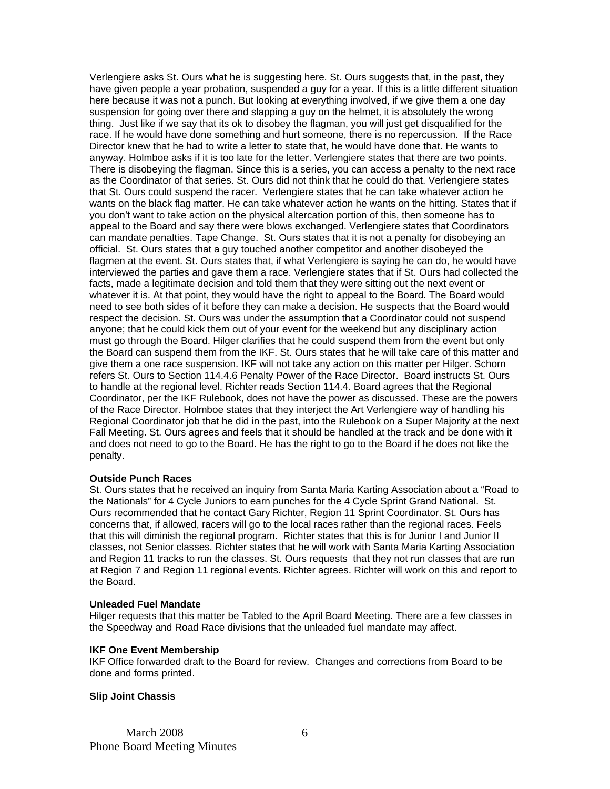Verlengiere asks St. Ours what he is suggesting here. St. Ours suggests that, in the past, they have given people a year probation, suspended a guy for a year. If this is a little different situation here because it was not a punch. But looking at everything involved, if we give them a one day suspension for going over there and slapping a guy on the helmet, it is absolutely the wrong thing. Just like if we say that its ok to disobey the flagman, you will just get disqualified for the race. If he would have done something and hurt someone, there is no repercussion. If the Race Director knew that he had to write a letter to state that, he would have done that. He wants to anyway. Holmboe asks if it is too late for the letter. Verlengiere states that there are two points. There is disobeying the flagman. Since this is a series, you can access a penalty to the next race as the Coordinator of that series. St. Ours did not think that he could do that. Verlengiere states that St. Ours could suspend the racer. Verlengiere states that he can take whatever action he wants on the black flag matter. He can take whatever action he wants on the hitting. States that if you don't want to take action on the physical altercation portion of this, then someone has to appeal to the Board and say there were blows exchanged. Verlengiere states that Coordinators can mandate penalties. Tape Change. St. Ours states that it is not a penalty for disobeying an official. St. Ours states that a guy touched another competitor and another disobeyed the flagmen at the event. St. Ours states that, if what Verlengiere is saying he can do, he would have interviewed the parties and gave them a race. Verlengiere states that if St. Ours had collected the facts, made a legitimate decision and told them that they were sitting out the next event or whatever it is. At that point, they would have the right to appeal to the Board. The Board would need to see both sides of it before they can make a decision. He suspects that the Board would respect the decision. St. Ours was under the assumption that a Coordinator could not suspend anyone; that he could kick them out of your event for the weekend but any disciplinary action must go through the Board. Hilger clarifies that he could suspend them from the event but only the Board can suspend them from the IKF. St. Ours states that he will take care of this matter and give them a one race suspension. IKF will not take any action on this matter per Hilger. Schorn refers St. Ours to Section 114.4.6 Penalty Power of the Race Director. Board instructs St. Ours to handle at the regional level. Richter reads Section 114.4. Board agrees that the Regional Coordinator, per the IKF Rulebook, does not have the power as discussed. These are the powers of the Race Director. Holmboe states that they interject the Art Verlengiere way of handling his Regional Coordinator job that he did in the past, into the Rulebook on a Super Majority at the next Fall Meeting. St. Ours agrees and feels that it should be handled at the track and be done with it and does not need to go to the Board. He has the right to go to the Board if he does not like the penalty.

### **Outside Punch Races**

St. Ours states that he received an inquiry from Santa Maria Karting Association about a "Road to the Nationals" for 4 Cycle Juniors to earn punches for the 4 Cycle Sprint Grand National. St. Ours recommended that he contact Gary Richter, Region 11 Sprint Coordinator. St. Ours has concerns that, if allowed, racers will go to the local races rather than the regional races. Feels that this will diminish the regional program. Richter states that this is for Junior I and Junior II classes, not Senior classes. Richter states that he will work with Santa Maria Karting Association and Region 11 tracks to run the classes. St. Ours requests that they not run classes that are run at Region 7 and Region 11 regional events. Richter agrees. Richter will work on this and report to the Board.

### **Unleaded Fuel Mandate**

Hilger requests that this matter be Tabled to the April Board Meeting. There are a few classes in the Speedway and Road Race divisions that the unleaded fuel mandate may affect.

### **IKF One Event Membership**

IKF Office forwarded draft to the Board for review. Changes and corrections from Board to be done and forms printed.

### **Slip Joint Chassis**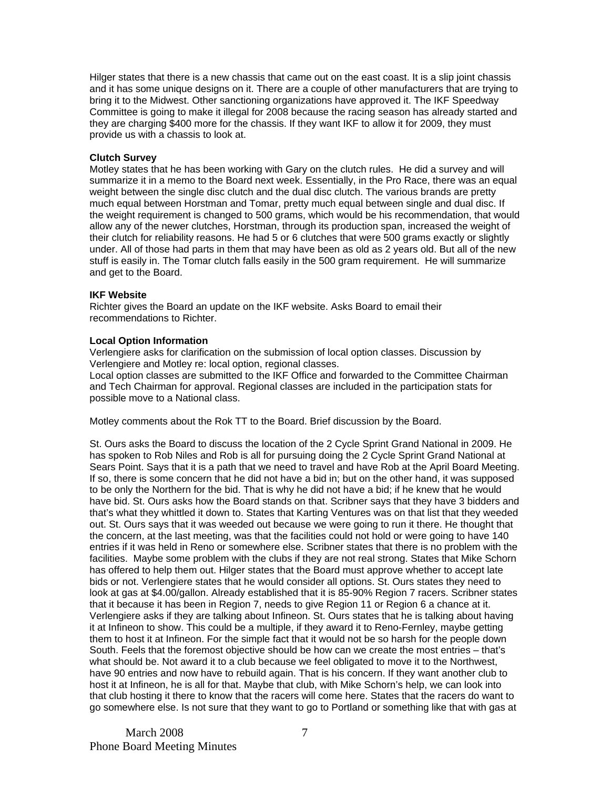Hilger states that there is a new chassis that came out on the east coast. It is a slip joint chassis and it has some unique designs on it. There are a couple of other manufacturers that are trying to bring it to the Midwest. Other sanctioning organizations have approved it. The IKF Speedway Committee is going to make it illegal for 2008 because the racing season has already started and they are charging \$400 more for the chassis. If they want IKF to allow it for 2009, they must provide us with a chassis to look at.

## **Clutch Survey**

Motley states that he has been working with Gary on the clutch rules. He did a survey and will summarize it in a memo to the Board next week. Essentially, in the Pro Race, there was an equal weight between the single disc clutch and the dual disc clutch. The various brands are pretty much equal between Horstman and Tomar, pretty much equal between single and dual disc. If the weight requirement is changed to 500 grams, which would be his recommendation, that would allow any of the newer clutches, Horstman, through its production span, increased the weight of their clutch for reliability reasons. He had 5 or 6 clutches that were 500 grams exactly or slightly under. All of those had parts in them that may have been as old as 2 years old. But all of the new stuff is easily in. The Tomar clutch falls easily in the 500 gram requirement. He will summarize and get to the Board.

## **IKF Website**

Richter gives the Board an update on the IKF website. Asks Board to email their recommendations to Richter.

## **Local Option Information**

Verlengiere asks for clarification on the submission of local option classes. Discussion by Verlengiere and Motley re: local option, regional classes.

Local option classes are submitted to the IKF Office and forwarded to the Committee Chairman and Tech Chairman for approval. Regional classes are included in the participation stats for possible move to a National class.

Motley comments about the Rok TT to the Board. Brief discussion by the Board.

St. Ours asks the Board to discuss the location of the 2 Cycle Sprint Grand National in 2009. He has spoken to Rob Niles and Rob is all for pursuing doing the 2 Cycle Sprint Grand National at Sears Point. Says that it is a path that we need to travel and have Rob at the April Board Meeting. If so, there is some concern that he did not have a bid in; but on the other hand, it was supposed to be only the Northern for the bid. That is why he did not have a bid; if he knew that he would have bid. St. Ours asks how the Board stands on that. Scribner says that they have 3 bidders and that's what they whittled it down to. States that Karting Ventures was on that list that they weeded out. St. Ours says that it was weeded out because we were going to run it there. He thought that the concern, at the last meeting, was that the facilities could not hold or were going to have 140 entries if it was held in Reno or somewhere else. Scribner states that there is no problem with the facilities. Maybe some problem with the clubs if they are not real strong. States that Mike Schorn has offered to help them out. Hilger states that the Board must approve whether to accept late bids or not. Verlengiere states that he would consider all options. St. Ours states they need to look at gas at \$4.00/gallon. Already established that it is 85-90% Region 7 racers. Scribner states that it because it has been in Region 7, needs to give Region 11 or Region 6 a chance at it. Verlengiere asks if they are talking about Infineon. St. Ours states that he is talking about having it at Infineon to show. This could be a multiple, if they award it to Reno-Fernley, maybe getting them to host it at Infineon. For the simple fact that it would not be so harsh for the people down South. Feels that the foremost objective should be how can we create the most entries – that's what should be. Not award it to a club because we feel obligated to move it to the Northwest, have 90 entries and now have to rebuild again. That is his concern. If they want another club to host it at Infineon, he is all for that. Maybe that club, with Mike Schorn's help, we can look into that club hosting it there to know that the racers will come here. States that the racers do want to go somewhere else. Is not sure that they want to go to Portland or something like that with gas at